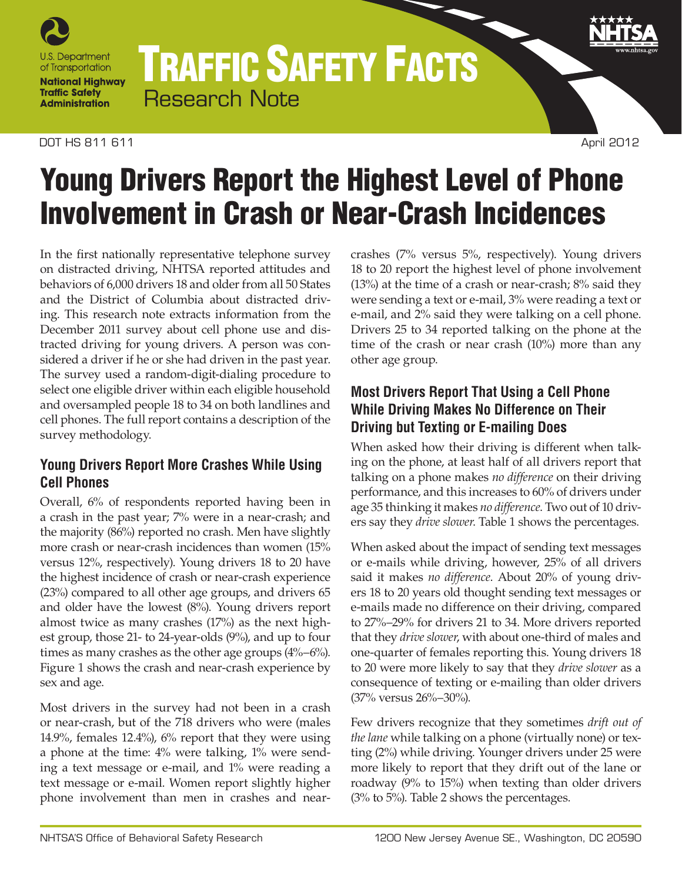

# TRAFFIC SAFETY FACTS Research Note

## **DOT HS 811 611** April 2012

# Young Drivers Report the Highest Level of Phone Involvement in Crash or Near-Crash Incidences

In the first nationally representative telephone survey on distracted driving, NHTSA reported attitudes and behaviors of 6,000 drivers 18 and older from all 50 States and the District of Columbia about distracted driving. This research note extracts information from the December 2011 survey about cell phone use and distracted driving for young drivers. A person was considered a driver if he or she had driven in the past year. The survey used a random-digit-dialing procedure to select one eligible driver within each eligible household and oversampled people 18 to 34 on both landlines and cell phones. The full report contains a description of the survey methodology.

# **Young Drivers Report More Crashes While Using Cell Phones**

Overall, 6% of respondents reported having been in a crash in the past year; 7% were in a near-crash; and the majority (86%) reported no crash. Men have slightly more crash or near-crash incidences than women (15% versus 12%, respectively). Young drivers 18 to 20 have the highest incidence of crash or near-crash experience (23%) compared to all other age groups, and drivers 65 and older have the lowest (8%). Young drivers report almost twice as many crashes (17%) as the next highest group, those 21- to 24-year-olds (9%), and up to four times as many crashes as the other age groups (4%–6%). Figure 1 shows the crash and near-crash experience by sex and age.

Most drivers in the survey had not been in a crash or near-crash, but of the 718 drivers who were (males 14.9%, females 12.4%), 6% report that they were using a phone at the time: 4% were talking, 1% were sending a text message or e-mail, and 1% were reading a text message or e-mail. Women report slightly higher phone involvement than men in crashes and nearcrashes (7% versus 5%, respectively). Young drivers 18 to 20 report the highest level of phone involvement (13%) at the time of a crash or near-crash; 8% said they were sending a text or e-mail, 3% were reading a text or e-mail, and 2% said they were talking on a cell phone. Drivers 25 to 34 reported talking on the phone at the time of the crash or near crash (10%) more than any other age group.

# **Most Drivers Report That Using a Cell Phone While Driving Makes No Difference on Their Driving but Texting or E-mailing Does**

When asked how their driving is different when talking on the phone, at least half of all drivers report that talking on a phone makes *no difference* on their driving performance, and this increases to 60% of drivers under age 35 thinking it makes *no difference*. Two out of 10 drivers say they *drive slower*. Table 1 shows the percentages.

When asked about the impact of sending text messages or e-mails while driving, however, 25% of all drivers said it makes *no difference*. About 20% of young drivers 18 to 20 years old thought sending text messages or e-mails made no difference on their driving, compared to 27%–29% for drivers 21 to 34. More drivers reported that they *drive slower*, with about one-third of males and one-quarter of females reporting this. Young drivers 18 to 20 were more likely to say that they *drive slower* as a consequence of texting or e-mailing than older drivers (37% versus 26%–30%).

Few drivers recognize that they sometimes *drift out of the lane* while talking on a phone (virtually none) or texting (2%) while driving. Younger drivers under 25 were more likely to report that they drift out of the lane or roadway (9% to 15%) when texting than older drivers (3% to 5%). Table 2 shows the percentages.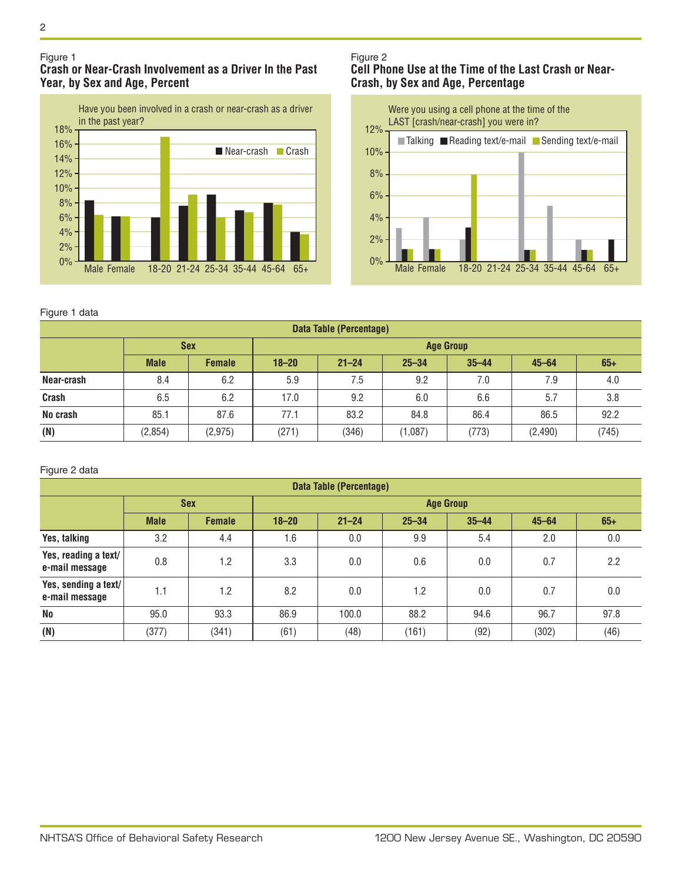#### Figure 1 **Crash or Near-Crash Involvement as a Driver In the Past Year, by Sex and Age, Percent**



### Figure 2 **Cell Phone Use at the Time of the Last Crash or Near-Crash, by Sex and Age, Percentage**



### Figure 1 data

| <b>Data Table (Percentage)</b> |             |               |                  |           |           |           |           |       |  |  |  |
|--------------------------------|-------------|---------------|------------------|-----------|-----------|-----------|-----------|-------|--|--|--|
|                                | <b>Sex</b>  |               | <b>Age Group</b> |           |           |           |           |       |  |  |  |
|                                | <b>Male</b> | <b>Female</b> | $18 - 20$        | $21 - 24$ | $25 - 34$ | $35 - 44$ | $45 - 64$ | $65+$ |  |  |  |
| Near-crash                     | 8.4         | 6.2           | 5.9              | 7.5       | 9.2       | 7.0       | 7.9       | 4.0   |  |  |  |
| Crash                          | 6.5         | 6.2           | 17.0             | 9.2       | 6.0       | 6.6       | 5.7       | 3.8   |  |  |  |
| No crash                       | 85.1        | 87.6          | 77.1             | 83.2      | 84.8      | 86.4      | 86.5      | 92.2  |  |  |  |
| (N)                            | (2, 854)    | (2,975)       | (271)            | (346)     | (1,087)   | (773)     | (2, 490)  | (745) |  |  |  |

#### Figure 2 data

| <b>Data Table (Percentage)</b>         |             |               |                  |           |           |           |           |       |  |  |
|----------------------------------------|-------------|---------------|------------------|-----------|-----------|-----------|-----------|-------|--|--|
|                                        | <b>Sex</b>  |               | <b>Age Group</b> |           |           |           |           |       |  |  |
|                                        | <b>Male</b> | <b>Female</b> | $18 - 20$        | $21 - 24$ | $25 - 34$ | $35 - 44$ | $45 - 64$ | $65+$ |  |  |
| Yes, talking                           | 3.2         | 4.4           | 1.6              | 0.0       | 9.9       | 5.4       | 2.0       | 0.0   |  |  |
| Yes, reading a text/<br>e-mail message | 0.8         | 1.2           | 3.3              | 0.0       | 0.6       | 0.0       | 0.7       | 2.2   |  |  |
| Yes, sending a text/<br>e-mail message | 1.1         | 1.2           | 8.2              | 0.0       | 1.2       | 0.0       | 0.7       | 0.0   |  |  |
| <b>No</b>                              | 95.0        | 93.3          | 86.9             | 100.0     | 88.2      | 94.6      | 96.7      | 97.8  |  |  |
| (N)                                    | (377)       | (341)         | (61)             | (48)      | (161)     | (92)      | (302)     | (46)  |  |  |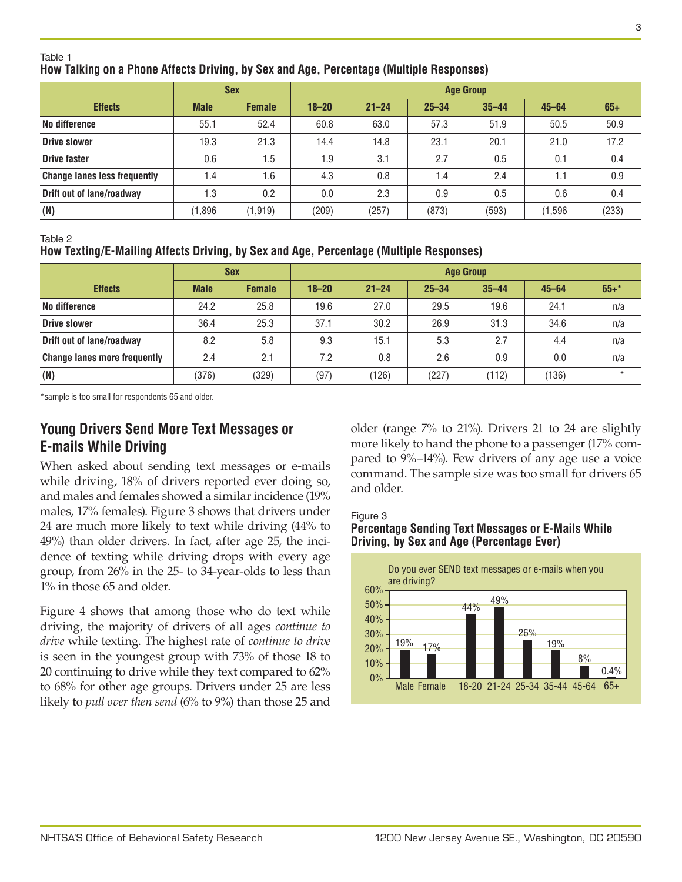## Table 1

## **How Talking on a Phone Affects Driving, by Sex and Age, Percentage (Multiple Responses)**

|                                     |             | <b>Sex</b>    | <b>Age Group</b> |           |           |           |           |       |  |
|-------------------------------------|-------------|---------------|------------------|-----------|-----------|-----------|-----------|-------|--|
| <b>Effects</b>                      | <b>Male</b> | <b>Female</b> | $18 - 20$        | $21 - 24$ | $25 - 34$ | $35 - 44$ | $45 - 64$ | $65+$ |  |
| No difference                       | 55.1        | 52.4          | 60.8             | 63.0      | 57.3      | 51.9      | 50.5      | 50.9  |  |
| <b>Drive slower</b>                 | 19.3        | 21.3          | 14.4             | 14.8      | 23.1      | 20.1      | 21.0      | 17.2  |  |
| <b>Drive faster</b>                 | 0.6         | 1.5           | 1.9              | 3.1       | 2.7       | 0.5       | 0.1       | 0.4   |  |
| <b>Change lanes less frequently</b> | 1.4         | 1.6           | 4.3              | 0.8       | 1.4       | 2.4       |           | 0.9   |  |
| Drift out of lane/roadway           | 1.3         | 0.2           | 0.0              | 2.3       | 0.9       | 0.5       | 0.6       | 0.4   |  |
| (N)                                 | (1,896)     | (1, 919)      | (209)            | (257)     | (873)     | (593)     | (1,596)   | (233) |  |

Table 2

## **How Texting/E-Mailing Affects Driving, by Sex and Age, Percentage (Multiple Responses)**

|                                     |             | <b>Sex</b>    | <b>Age Group</b> |           |           |           |           |         |  |
|-------------------------------------|-------------|---------------|------------------|-----------|-----------|-----------|-----------|---------|--|
| <b>Effects</b>                      | <b>Male</b> | <b>Female</b> | $18 - 20$        | $21 - 24$ | $25 - 34$ | $35 - 44$ | $45 - 64$ | $65+$ * |  |
| No difference                       | 24.2        | 25.8          | 19.6             | 27.0      | 29.5      | 19.6      | 24.1      | n/a     |  |
| <b>Drive slower</b>                 | 36.4        | 25.3          | 37.1             | 30.2      | 26.9      | 31.3      | 34.6      | n/a     |  |
| Drift out of lane/roadway           | 8.2         | 5.8           | 9.3              | 15.1      | 5.3       | 2.7       | 4.4       | n/a     |  |
| <b>Change lanes more frequently</b> | 2.4         | 2.1           | 7.2              | 0.8       | 2.6       | 0.9       | 0.0       | n/a     |  |
| (N)                                 | (376)       | (329)         | (97)             | (126)     | (227)     | (112)     | (136)     | $\star$ |  |

\*sample is too small for respondents 65 and older.

## **Young Drivers Send More Text Messages or E-mails While Driving**

When asked about sending text messages or e-mails while driving, 18% of drivers reported ever doing so, and males and females showed a similar incidence (19% males, 17% females). Figure 3 shows that drivers under 24 are much more likely to text while driving (44% to 49%) than older drivers. In fact, after age 25, the incidence of texting while driving drops with every age group, from 26% in the 25- to 34-year-olds to less than 1% in those 65 and older.

Figure 4 shows that among those who do text while driving, the majority of drivers of all ages *continue to drive* while texting. The highest rate of *continue to drive* is seen in the youngest group with 73% of those 18 to 20 continuing to drive while they text compared to 62% to 68% for other age groups. Drivers under 25 are less likely to *pull over then send* (6% to 9%) than those 25 and

older (range 7% to 21%). Drivers 21 to 24 are slightly more likely to hand the phone to a passenger (17% compared to 9%–14%). Few drivers of any age use a voice command. The sample size was too small for drivers 65 and older.

Figure 3

## **Percentage Sending Text Messages or E-Mails While Driving, by Sex and Age (Percentage Ever)**

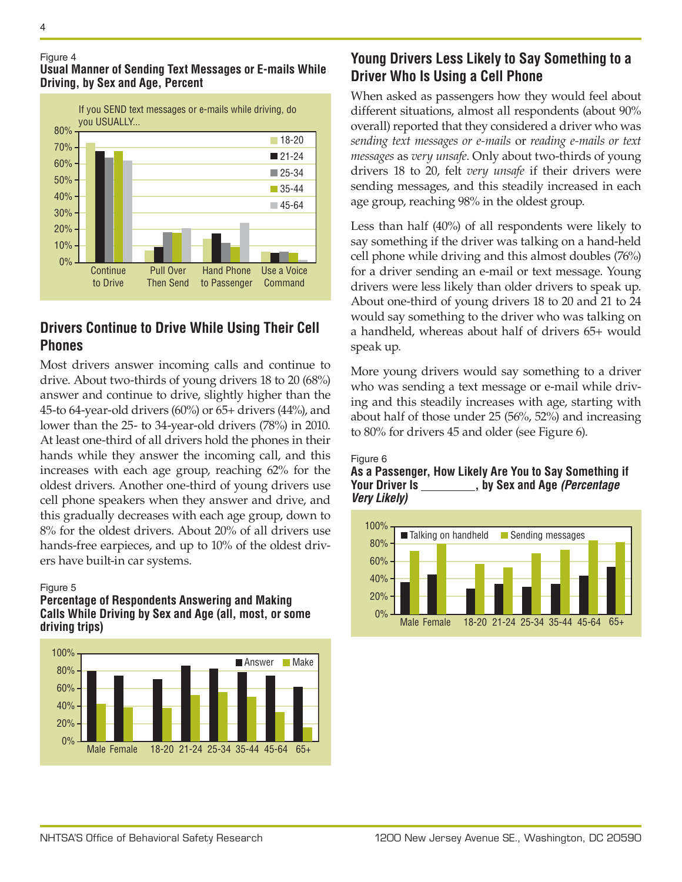

### Figure 4 **Usual Manner of Sending Text Messages or E-mails While Driving, by Sex and Age, Percent**

## **Drivers Continue to Drive While Using Their Cell Phones**

Most drivers answer incoming calls and continue to drive. About two-thirds of young drivers 18 to 20 (68%) answer and continue to drive, slightly higher than the 45-to 64-year-old drivers (60%) or 65+ drivers (44%), and lower than the 25- to 34-year-old drivers (78%) in 2010. At least one-third of all drivers hold the phones in their hands while they answer the incoming call, and this increases with each age group, reaching 62% for the oldest drivers. Another one-third of young drivers use cell phone speakers when they answer and drive, and this gradually decreases with each age group, down to 8% for the oldest drivers. About 20% of all drivers use hands-free earpieces, and up to 10% of the oldest drivers have built-in car systems.

### Figure 5

### **Percentage of Respondents Answering and Making Calls While Driving by Sex and Age (all, most, or some driving trips)**



# **Young Drivers Less Likely to Say Something to a Driver Who Is Using a Cell Phone**

When asked as passengers how they would feel about different situations, almost all respondents (about 90% overall) reported that they considered a driver who was *sending text messages or e-mails* or *reading e-mails or text messages* as *very unsafe*. Only about two-thirds of young drivers 18 to 20, felt *very unsafe* if their drivers were sending messages, and this steadily increased in each age group, reaching 98% in the oldest group.

Less than half (40%) of all respondents were likely to say something if the driver was talking on a hand-held cell phone while driving and this almost doubles (76%) for a driver sending an e-mail or text message. Young drivers were less likely than older drivers to speak up. About one-third of young drivers 18 to 20 and 21 to 24 would say something to the driver who was talking on a handheld, whereas about half of drivers 65+ would speak up.

More young drivers would say something to a driver who was sending a text message or e-mail while driving and this steadily increases with age, starting with about half of those under 25 (56%, 52%) and increasing to 80% for drivers 45 and older (see Figure 6).

#### Figure 6

## **As a Passenger, How Likely Are You to Say Something if Your Driver Is , by Sex and Age** *(Percentage Very Likely)*